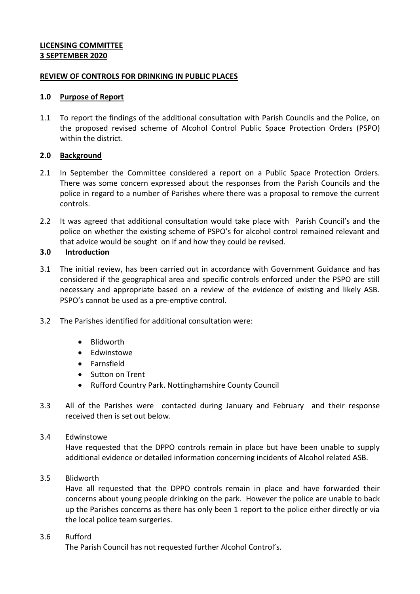## **LICENSING COMMITTEE 3 SEPTEMBER 2020**

## **REVIEW OF CONTROLS FOR DRINKING IN PUBLIC PLACES**

## **1.0 Purpose of Report**

1.1 To report the findings of the additional consultation with Parish Councils and the Police, on the proposed revised scheme of Alcohol Control Public Space Protection Orders (PSPO) within the district.

# **2.0 Background**

- 2.1 In September the Committee considered a report on a Public Space Protection Orders. There was some concern expressed about the responses from the Parish Councils and the police in regard to a number of Parishes where there was a proposal to remove the current controls.
- 2.2 It was agreed that additional consultation would take place with Parish Council's and the police on whether the existing scheme of PSPO's for alcohol control remained relevant and that advice would be sought on if and how they could be revised.

# **3.0 Introduction**

- 3.1 The initial review, has been carried out in accordance with Government Guidance and has considered if the geographical area and specific controls enforced under the PSPO are still necessary and appropriate based on a review of the evidence of existing and likely ASB. PSPO's cannot be used as a pre-emptive control.
- 3.2 The Parishes identified for additional consultation were:
	- Blidworth
	- **•** Edwinstowe
	- Farnsfield
	- Sutton on Trent
	- Rufford Country Park. Nottinghamshire County Council
- 3.3 All of the Parishes were contacted during January and February and their response received then is set out below.

### 3.4 Edwinstowe

Have requested that the DPPO controls remain in place but have been unable to supply additional evidence or detailed information concerning incidents of Alcohol related ASB.

3.5 Blidworth

Have all requested that the DPPO controls remain in place and have forwarded their concerns about young people drinking on the park. However the police are unable to back up the Parishes concerns as there has only been 1 report to the police either directly or via the local police team surgeries.

### 3.6 Rufford

The Parish Council has not requested further Alcohol Control's.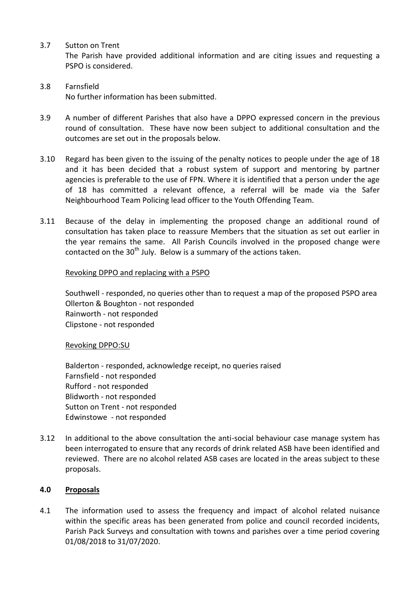3.7 Sutton on Trent

The Parish have provided additional information and are citing issues and requesting a PSPO is considered.

- 3.8 Farnsfield No further information has been submitted.
- 3.9 A number of different Parishes that also have a DPPO expressed concern in the previous round of consultation. These have now been subject to additional consultation and the outcomes are set out in the proposals below.
- 3.10 Regard has been given to the issuing of the penalty notices to people under the age of 18 and it has been decided that a robust system of support and mentoring by partner agencies is preferable to the use of FPN. Where it is identified that a person under the age of 18 has committed a relevant offence, a referral will be made via the Safer Neighbourhood Team Policing lead officer to the Youth Offending Team.
- 3.11 Because of the delay in implementing the proposed change an additional round of consultation has taken place to reassure Members that the situation as set out earlier in the year remains the same. All Parish Councils involved in the proposed change were contacted on the  $30<sup>th</sup>$  July. Below is a summary of the actions taken.

## Revoking DPPO and replacing with a PSPO

Southwell - responded, no queries other than to request a map of the proposed PSPO area Ollerton & Boughton - not responded Rainworth - not responded Clipstone - not responded

Revoking DPPO:SU

Balderton - responded, acknowledge receipt, no queries raised Farnsfield - not responded Rufford - not responded Blidworth - not responded Sutton on Trent - not responded Edwinstowe - not responded

3.12 In additional to the above consultation the anti-social behaviour case manage system has been interrogated to ensure that any records of drink related ASB have been identified and reviewed. There are no alcohol related ASB cases are located in the areas subject to these proposals.

# **4.0 Proposals**

4.1 The information used to assess the frequency and impact of alcohol related nuisance within the specific areas has been generated from police and council recorded incidents, Parish Pack Surveys and consultation with towns and parishes over a time period covering 01/08/2018 to 31/07/2020.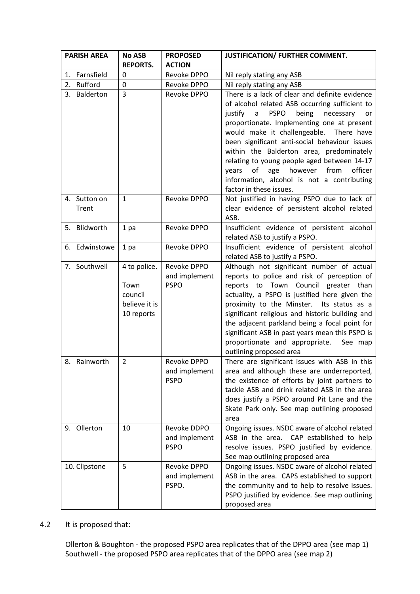| <b>PARISH AREA</b> | <b>No ASB</b>   | <b>PROPOSED</b> | JUSTIFICATION/ FURTHER COMMENT.                                                               |
|--------------------|-----------------|-----------------|-----------------------------------------------------------------------------------------------|
|                    | <b>REPORTS.</b> | <b>ACTION</b>   |                                                                                               |
| 1. Farnsfield      | 0               | Revoke DPPO     | Nil reply stating any ASB                                                                     |
| 2. Rufford         | 0               | Revoke DPPO     | Nil reply stating any ASB                                                                     |
| 3. Balderton       | 3               | Revoke DPPO     | There is a lack of clear and definite evidence                                                |
|                    |                 |                 | of alcohol related ASB occurring sufficient to                                                |
|                    |                 |                 | being<br>necessary<br>justify<br>a<br><b>PSPO</b><br>or                                       |
|                    |                 |                 | proportionate. Implementing one at present                                                    |
|                    |                 |                 | would make it challengeable. There have                                                       |
|                    |                 |                 | been significant anti-social behaviour issues<br>within the Balderton area, predominately     |
|                    |                 |                 | relating to young people aged between 14-17                                                   |
|                    |                 |                 | of age however from<br>officer<br>years                                                       |
|                    |                 |                 | information, alcohol is not a contributing                                                    |
|                    |                 |                 | factor in these issues.                                                                       |
| 4. Sutton on       | $\mathbf{1}$    | Revoke DPPO     | Not justified in having PSPO due to lack of                                                   |
| Trent              |                 |                 | clear evidence of persistent alcohol related                                                  |
|                    |                 |                 | ASB.                                                                                          |
| 5. Blidworth       | 1 pa            | Revoke DPPO     | Insufficient evidence of persistent alcohol                                                   |
|                    |                 |                 | related ASB to justify a PSPO.                                                                |
| 6. Edwinstowe      | 1 pa            | Revoke DPPO     | Insufficient evidence of persistent alcohol                                                   |
| 7. Southwell       | 4 to police.    | Revoke DPPO     | related ASB to justify a PSPO.<br>Although not significant number of actual                   |
|                    |                 | and implement   | reports to police and risk of perception of                                                   |
|                    | Town            | <b>PSPO</b>     | reports to Town Council greater than                                                          |
|                    | council         |                 | actuality, a PSPO is justified here given the                                                 |
|                    | believe it is   |                 | proximity to the Minster.<br>Its status as a                                                  |
|                    | 10 reports      |                 | significant religious and historic building and                                               |
|                    |                 |                 | the adjacent parkland being a focal point for                                                 |
|                    |                 |                 | significant ASB in past years mean this PSPO is                                               |
|                    |                 |                 | proportionate and appropriate.<br>See map                                                     |
|                    |                 |                 | outlining proposed area                                                                       |
| 8. Rainworth       | 2               | Revoke DPPO     | There are significant issues with ASB in this                                                 |
|                    |                 | and implement   | area and although these are underreported,                                                    |
|                    |                 | <b>PSPO</b>     | the existence of efforts by joint partners to<br>tackle ASB and drink related ASB in the area |
|                    |                 |                 | does justify a PSPO around Pit Lane and the                                                   |
|                    |                 |                 | Skate Park only. See map outlining proposed                                                   |
|                    |                 |                 | area                                                                                          |
| 9. Ollerton        | 10              | Revoke DDPO     | Ongoing issues. NSDC aware of alcohol related                                                 |
|                    |                 | and implement   | ASB in the area. CAP established to help                                                      |
|                    |                 | <b>PSPO</b>     | resolve issues. PSPO justified by evidence.                                                   |
|                    |                 |                 | See map outlining proposed area                                                               |
| 10. Clipstone      | 5               | Revoke DPPO     | Ongoing issues. NSDC aware of alcohol related                                                 |
|                    |                 | and implement   | ASB in the area. CAPS established to support                                                  |
|                    |                 | PSPO.           | the community and to help to resolve issues.                                                  |
|                    |                 |                 | PSPO justified by evidence. See map outlining                                                 |
|                    |                 |                 | proposed area                                                                                 |

# 4.2 It is proposed that:

Ollerton & Boughton - the proposed PSPO area replicates that of the DPPO area (see map 1) Southwell - the proposed PSPO area replicates that of the DPPO area (see map 2)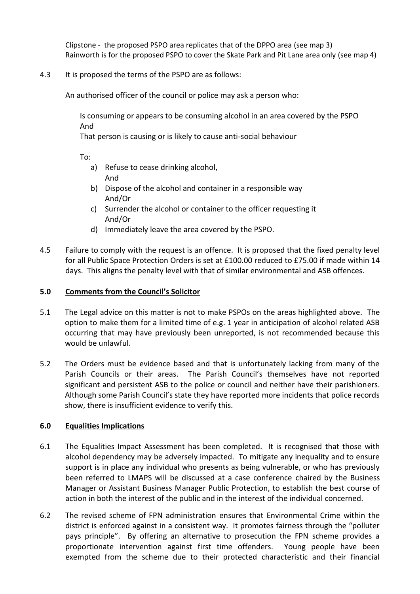Clipstone - the proposed PSPO area replicates that of the DPPO area (see map 3) Rainworth is for the proposed PSPO to cover the Skate Park and Pit Lane area only (see map 4)

## 4.3 It is proposed the terms of the PSPO are as follows:

An authorised officer of the council or police may ask a person who:

Is consuming or appears to be consuming alcohol in an area covered by the PSPO And

That person is causing or is likely to cause anti-social behaviour

To:

- a) Refuse to cease drinking alcohol, And
- b) Dispose of the alcohol and container in a responsible way And/Or
- c) Surrender the alcohol or container to the officer requesting it And/Or
- d) Immediately leave the area covered by the PSPO.
- 4.5 Failure to comply with the request is an offence. It is proposed that the fixed penalty level for all Public Space Protection Orders is set at £100.00 reduced to £75.00 if made within 14 days. This aligns the penalty level with that of similar environmental and ASB offences.

### **5.0 Comments from the Council's Solicitor**

- 5.1 The Legal advice on this matter is not to make PSPOs on the areas highlighted above. The option to make them for a limited time of e.g. 1 year in anticipation of alcohol related ASB occurring that may have previously been unreported, is not recommended because this would be unlawful.
- 5.2 The Orders must be evidence based and that is unfortunately lacking from many of the Parish Councils or their areas. The Parish Council's themselves have not reported significant and persistent ASB to the police or council and neither have their parishioners. Although some Parish Council's state they have reported more incidents that police records show, there is insufficient evidence to verify this.

# **6.0 Equalities Implications**

- 6.1 The Equalities Impact Assessment has been completed. It is recognised that those with alcohol dependency may be adversely impacted. To mitigate any inequality and to ensure support is in place any individual who presents as being vulnerable, or who has previously been referred to LMAPS will be discussed at a case conference chaired by the Business Manager or Assistant Business Manager Public Protection, to establish the best course of action in both the interest of the public and in the interest of the individual concerned.
- 6.2 The revised scheme of FPN administration ensures that Environmental Crime within the district is enforced against in a consistent way. It promotes fairness through the "polluter pays principle". By offering an alternative to prosecution the FPN scheme provides a proportionate intervention against first time offenders. Young people have been exempted from the scheme due to their protected characteristic and their financial